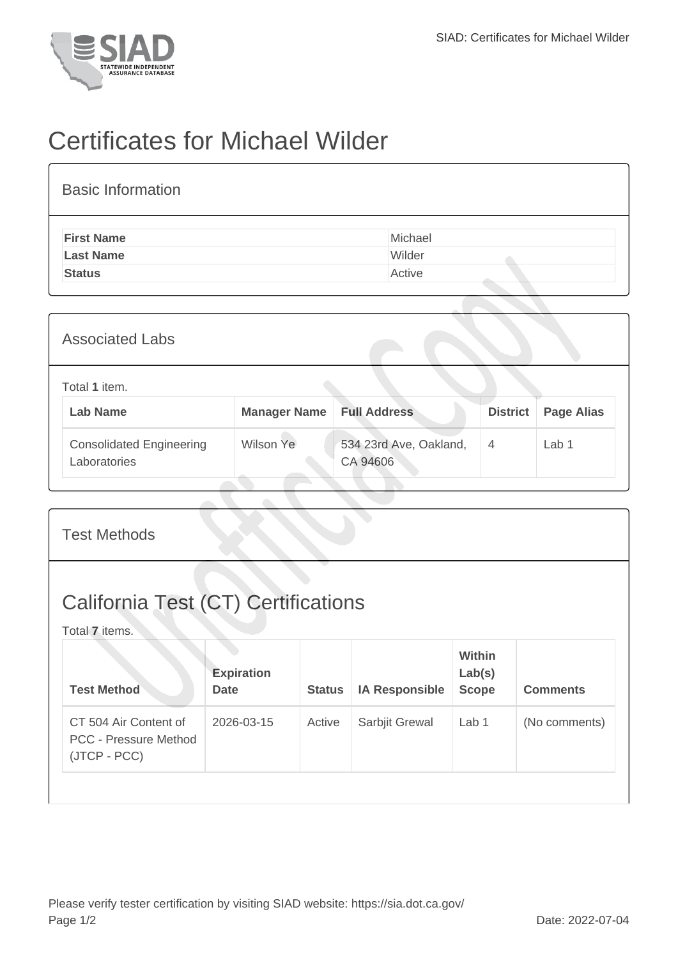

## Certificates for Michael Wilder

| <b>Basic Information</b> |         |
|--------------------------|---------|
| <b>First Name</b>        | Michael |
| <b>Last Name</b>         | Wilder  |
| <b>Status</b>            | Active  |
|                          |         |

| <b>Associated Labs</b>                          |                     |                                    |                 |                   |
|-------------------------------------------------|---------------------|------------------------------------|-----------------|-------------------|
| Total 1 item.<br><b>Lab Name</b>                | <b>Manager Name</b> | <b>Full Address</b>                | <b>District</b> | <b>Page Alias</b> |
| <b>Consolidated Engineering</b><br>Laboratories | Wilson Ye           | 534 23rd Ave, Oakland,<br>CA 94606 | $\overline{4}$  | Lab 1             |

| <b>Test Methods</b>                                                   |                                  |               |                       |                                         |                 |  |
|-----------------------------------------------------------------------|----------------------------------|---------------|-----------------------|-----------------------------------------|-----------------|--|
| <b>California Test (CT) Certifications</b><br>Total 7 items.          |                                  |               |                       |                                         |                 |  |
| <b>Test Method</b>                                                    | <b>Expiration</b><br><b>Date</b> | <b>Status</b> | <b>IA Responsible</b> | <b>Within</b><br>Lab(s)<br><b>Scope</b> | <b>Comments</b> |  |
| CT 504 Air Content of<br><b>PCC - Pressure Method</b><br>(JTCP - PCC) | 2026-03-15                       | Active        | Sarbjit Grewal        | Lab 1                                   | (No comments)   |  |
|                                                                       |                                  |               |                       |                                         |                 |  |